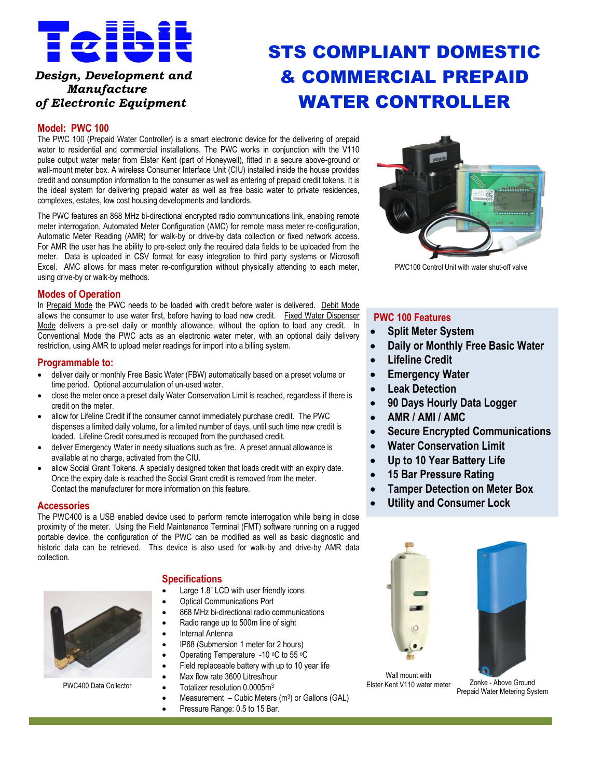

## *Design, Development and Manufacture of Electronic Equipment*

# STS COMPLIANT DOMESTIC & COMMERCIAL PREPAID WATER CONTROLLER

#### **Model: PWC 100**

The PWC 100 (Prepaid Water Controller) is a smart electronic device for the delivering of prepaid water to residential and commercial installations. The PWC works in conjunction with the V110 pulse output water meter from Elster Kent (part of Honeywell), fitted in a secure above-ground or wall-mount meter box. A wireless Consumer Interface Unit (CIU) installed inside the house provides credit and consumption information to the consumer as well as entering of prepaid credit tokens. It is the ideal system for delivering prepaid water as well as free basic water to private residences, complexes, estates, low cost housing developments and landlords.

The PWC features an 868 MHz bi-directional encrypted radio communications link, enabling remote meter interrogation, Automated Meter Configuration (AMC) for remote mass meter re-configuration, Automatic Meter Reading (AMR) for walk-by or drive-by data collection or fixed network access. For AMR the user has the ability to pre-select only the required data fields to be uploaded from the meter. Data is uploaded in CSV format for easy integration to third party systems or Microsoft Excel. AMC allows for mass meter re-configuration without physically attending to each meter, using drive-by or walk-by methods.

#### **Modes of Operation**

In Prepaid Mode the PWC needs to be loaded with credit before water is delivered. Debit Mode allows the consumer to use water first, before having to load new credit. Fixed Water Dispenser Mode delivers a pre-set daily or monthly allowance, without the option to load any credit. In Conventional Mode the PWC acts as an electronic water meter, with an optional daily delivery restriction, using AMR to upload meter readings for import into a billing system.

#### **Programmable to:**

- deliver daily or monthly Free Basic Water (FBW) automatically based on a preset volume or time period. Optional accumulation of un-used water.
- close the meter once a preset daily Water Conservation Limit is reached, regardless if there is credit on the meter.
- allow for Lifeline Credit if the consumer cannot immediately purchase credit. The PWC dispenses a limited daily volume, for a limited number of days, until such time new credit is loaded. Lifeline Credit consumed is recouped from the purchased credit.
- deliver Emergency Water in needy situations such as fire. A preset annual allowance is available at no charge, activated from the CIU.
- allow Social Grant Tokens. A specially designed token that loads credit with an expiry date. Once the expiry date is reached the Social Grant credit is removed from the meter. Contact the manufacturer for more information on this feature.

#### **Accessories**

The PWC400 is a USB enabled device used to perform remote interrogation while being in close proximity of the meter. Using the Field Maintenance Terminal (FMT) software running on a rugged portable device, the configuration of the PWC can be modified as well as basic diagnostic and historic data can be retrieved. This device is also used for walk-by and drive-by AMR data collection.



## **Specifications**

- Large 1.8" LCD with user friendly icons
- Optical Communications Port
- 868 MHz bi-directional radio communications
- Radio range up to 500m line of sight
- Internal Antenna
- IP68 (Submersion 1 meter for 2 hours)
- Operating Temperature -10 °C to 55 °C
- Field replaceable battery with up to 10 year life
- Max flow rate 3600 Litres/hour
- 
- $\bullet$  Measurement Cubic Meters (m<sup>3</sup>) or Gallons (GAL)
- Pressure Range: 0.5 to 15 Bar.



PWC100 Control Unit with water shut-off valve

#### **PWC 100 Features**

- **Split Meter System**
- **Daily or Monthly Free Basic Water**
- **Lifeline Credit**
- **Emergency Water**
- **Leak Detection**
- **90 Days Hourly Data Logger**
- **AMR / AMI / AMC**
- **Secure Encrypted Communications**
- **Water Conservation Limit**
- **Up to 10 Year Battery Life**
- **15 Bar Pressure Rating**
- **Tamper Detection on Meter Box**
- **Utility and Consumer Lock**





PWC400 Data Collector **Collection** and the Collection of District Collection Collection Collection Collection Collection Collection Collection Collection Collection Collection Collection Collection Collection Collection Co Wall mount with Elster Kent V110 water meter

Prepaid Water Metering System